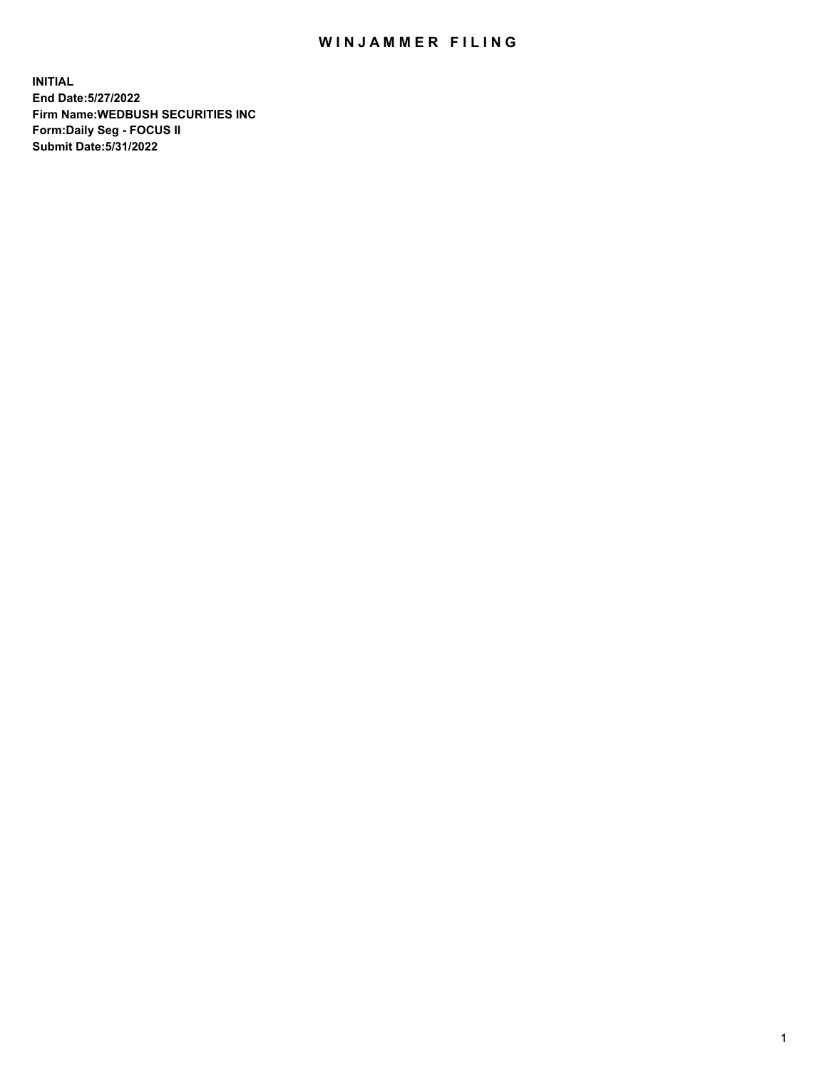## WIN JAMMER FILING

**INITIAL End Date:5/27/2022 Firm Name:WEDBUSH SECURITIES INC Form:Daily Seg - FOCUS II Submit Date:5/31/2022**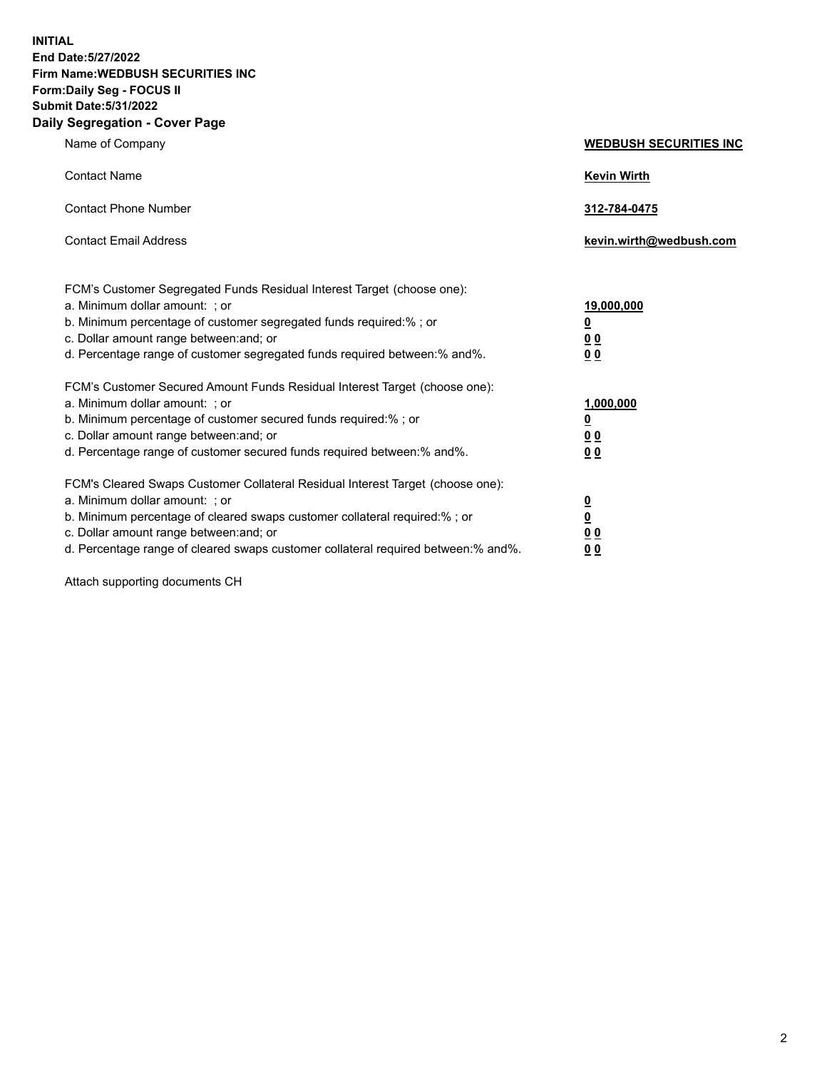**INITIAL End Date:5/27/2022 Firm Name:WEDBUSH SECURITIES INC Form:Daily Seg - FOCUS II Submit Date:5/31/2022 Daily Segregation - Cover Page**

| Name of Company                                                                                                                                                                                                                                                                                       | <b>WEDBUSH SECURITIES INC</b>                                        |  |
|-------------------------------------------------------------------------------------------------------------------------------------------------------------------------------------------------------------------------------------------------------------------------------------------------------|----------------------------------------------------------------------|--|
| <b>Contact Name</b>                                                                                                                                                                                                                                                                                   | <b>Kevin Wirth</b>                                                   |  |
| <b>Contact Phone Number</b>                                                                                                                                                                                                                                                                           | 312-784-0475                                                         |  |
| <b>Contact Email Address</b>                                                                                                                                                                                                                                                                          | kevin.wirth@wedbush.com                                              |  |
| FCM's Customer Segregated Funds Residual Interest Target (choose one):<br>a. Minimum dollar amount: ; or<br>b. Minimum percentage of customer segregated funds required:%; or<br>c. Dollar amount range between: and; or<br>d. Percentage range of customer segregated funds required between:% and%. | 19,000,000<br><u>0</u><br><u>00</u><br>0 <sub>0</sub>                |  |
| FCM's Customer Secured Amount Funds Residual Interest Target (choose one):<br>a. Minimum dollar amount: ; or<br>b. Minimum percentage of customer secured funds required:%; or<br>c. Dollar amount range between: and; or<br>d. Percentage range of customer secured funds required between:% and%.   | 1,000,000<br><u>0</u><br>00<br>0 <sub>0</sub>                        |  |
| FCM's Cleared Swaps Customer Collateral Residual Interest Target (choose one):<br>a. Minimum dollar amount: ; or<br>b. Minimum percentage of cleared swaps customer collateral required:% ; or<br>c. Dollar amount range between: and; or                                                             | $\overline{\mathbf{0}}$<br>$\overline{\mathbf{0}}$<br>0 <sub>0</sub> |  |

d. Percentage range of cleared swaps customer collateral required between:% and%. **0 0**

Attach supporting documents CH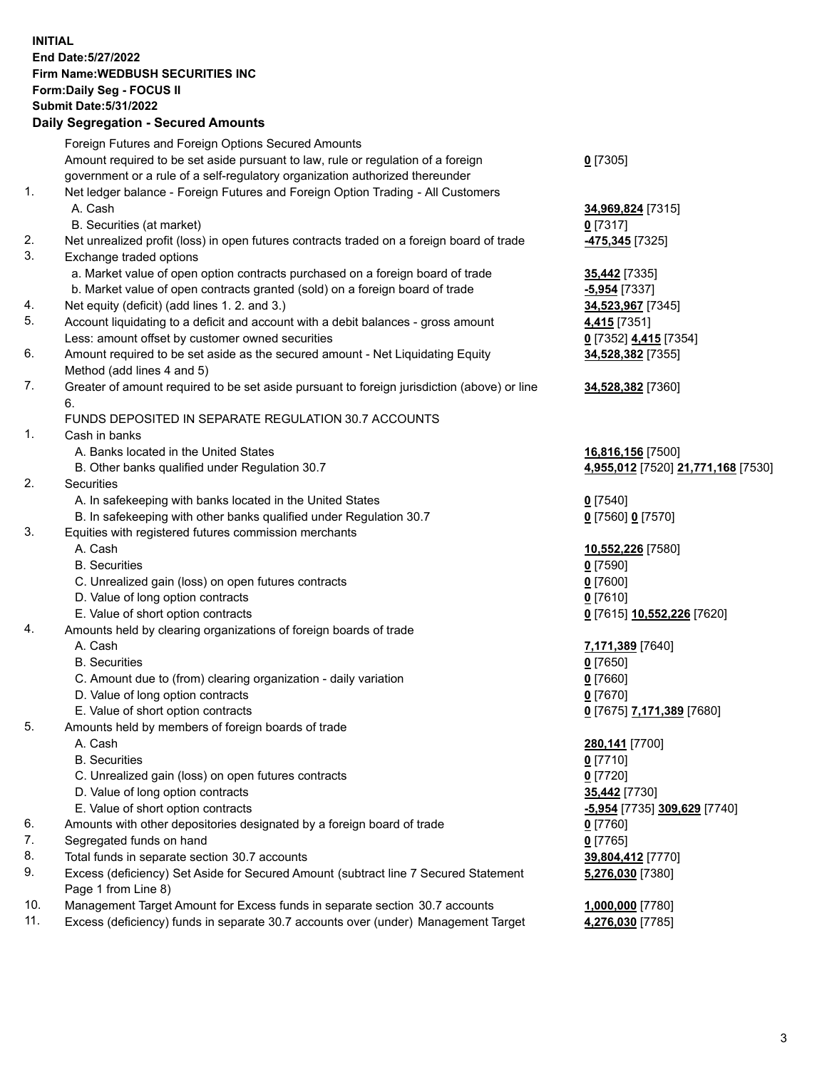**INITIAL End Date:5/27/2022 Firm Name:WEDBUSH SECURITIES INC Form:Daily Seg - FOCUS II Submit Date:5/31/2022 Daily Segregation - Secured Amounts**

|     | Daily Jegregation - Jeculed Aniounts                                                        |                                             |
|-----|---------------------------------------------------------------------------------------------|---------------------------------------------|
|     | Foreign Futures and Foreign Options Secured Amounts                                         |                                             |
|     | Amount required to be set aside pursuant to law, rule or regulation of a foreign            | $0$ [7305]                                  |
|     | government or a rule of a self-regulatory organization authorized thereunder                |                                             |
| 1.  | Net ledger balance - Foreign Futures and Foreign Option Trading - All Customers             |                                             |
|     | A. Cash                                                                                     | 34,969,824 [7315]                           |
|     | B. Securities (at market)                                                                   | $0$ [7317]                                  |
| 2.  | Net unrealized profit (loss) in open futures contracts traded on a foreign board of trade   | 475,345 [7325]                              |
| 3.  | Exchange traded options                                                                     |                                             |
|     | a. Market value of open option contracts purchased on a foreign board of trade              | <b>35,442</b> [7335]                        |
|     | b. Market value of open contracts granted (sold) on a foreign board of trade                | $-5,954$ [7337]                             |
| 4.  | Net equity (deficit) (add lines 1. 2. and 3.)                                               | 34,523,967 [7345]                           |
| 5.  | Account liquidating to a deficit and account with a debit balances - gross amount           | 4,415 [7351]                                |
|     | Less: amount offset by customer owned securities                                            | 0 <sup>[7352]</sup> 4,415 <sup>[7354]</sup> |
| 6.  | Amount required to be set aside as the secured amount - Net Liquidating Equity              | 34,528,382 [7355]                           |
|     | Method (add lines 4 and 5)                                                                  |                                             |
| 7.  | Greater of amount required to be set aside pursuant to foreign jurisdiction (above) or line | 34,528,382 [7360]                           |
|     | 6.                                                                                          |                                             |
|     | FUNDS DEPOSITED IN SEPARATE REGULATION 30.7 ACCOUNTS                                        |                                             |
| 1.  | Cash in banks                                                                               |                                             |
|     | A. Banks located in the United States                                                       | 16,816,156 [7500]                           |
|     | B. Other banks qualified under Regulation 30.7                                              | 4,955,012 [7520] 21,771,168 [7530]          |
| 2.  | Securities                                                                                  |                                             |
|     | A. In safekeeping with banks located in the United States                                   | $0$ [7540]                                  |
|     | B. In safekeeping with other banks qualified under Regulation 30.7                          | 0 [7560] 0 [7570]                           |
| 3.  | Equities with registered futures commission merchants                                       |                                             |
|     | A. Cash                                                                                     | 10,552,226 [7580]                           |
|     | <b>B.</b> Securities                                                                        | $0$ [7590]                                  |
|     | C. Unrealized gain (loss) on open futures contracts                                         | $0$ [7600]                                  |
|     | D. Value of long option contracts                                                           | $0$ [7610]                                  |
|     | E. Value of short option contracts                                                          | 0 [7615] 10,552,226 [7620]                  |
| 4.  | Amounts held by clearing organizations of foreign boards of trade                           |                                             |
|     | A. Cash                                                                                     | 7,171,389 [7640]                            |
|     | <b>B.</b> Securities                                                                        | $0$ [7650]                                  |
|     | C. Amount due to (from) clearing organization - daily variation                             | $0$ [7660]                                  |
|     | D. Value of long option contracts                                                           | $0$ [7670]                                  |
|     | E. Value of short option contracts                                                          | 0 [7675] 7,171,389 [7680]                   |
| 5.  | Amounts held by members of foreign boards of trade                                          |                                             |
|     | A. Cash                                                                                     | 280,141 [7700]                              |
|     | <b>B.</b> Securities                                                                        | $0$ [7710]                                  |
|     | C. Unrealized gain (loss) on open futures contracts                                         | $0$ [7720]                                  |
|     | D. Value of long option contracts                                                           | <b>35,442</b> [7730]                        |
|     | E. Value of short option contracts                                                          | -5,954 [7735] 309,629 [7740]                |
| 6.  | Amounts with other depositories designated by a foreign board of trade                      | 0 [7760]                                    |
| 7.  | Segregated funds on hand                                                                    | $0$ [7765]                                  |
| 8.  | Total funds in separate section 30.7 accounts                                               | 39,804,412 [7770]                           |
| 9.  | Excess (deficiency) Set Aside for Secured Amount (subtract line 7 Secured Statement         | 5,276,030 [7380]                            |
|     | Page 1 from Line 8)                                                                         |                                             |
| 10. | Management Target Amount for Excess funds in separate section 30.7 accounts                 | 1,000,000 [7780]                            |
| 11. | Excess (deficiency) funds in separate 30.7 accounts over (under) Management Target          | 4,276,030 [7785]                            |
|     |                                                                                             |                                             |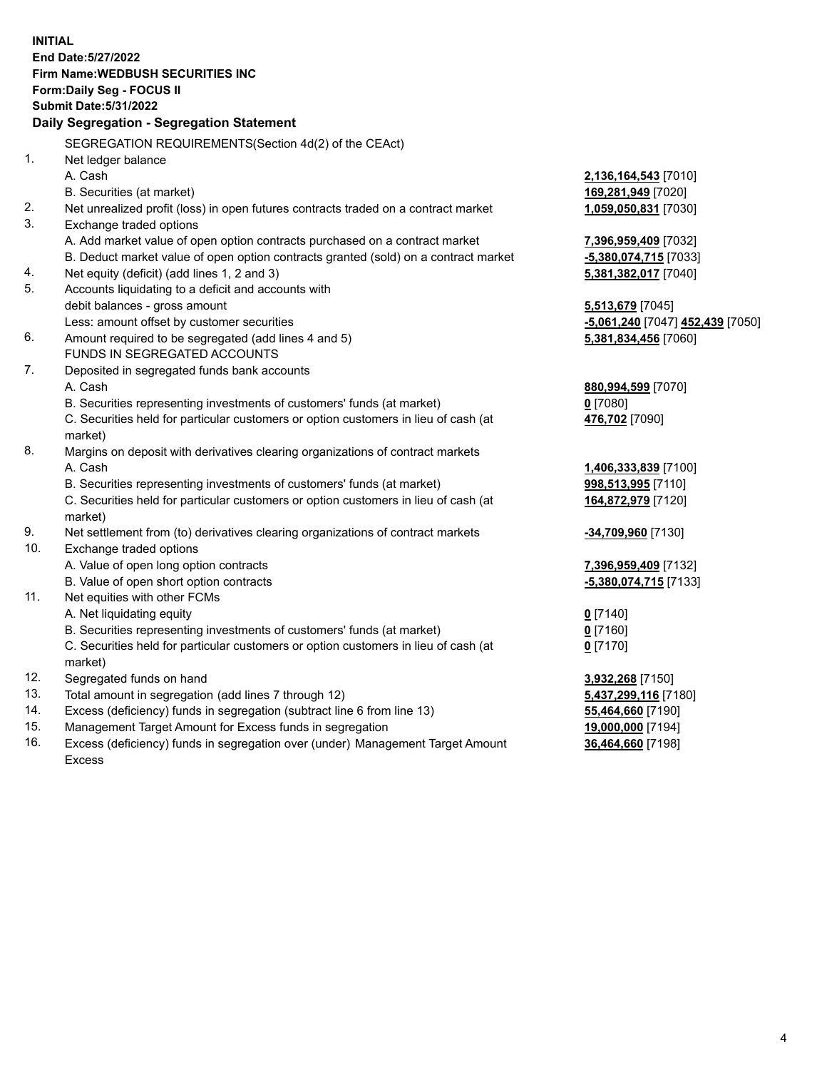|                | <b>INITIAL</b>                                                                      |                                  |
|----------------|-------------------------------------------------------------------------------------|----------------------------------|
|                | End Date: 5/27/2022                                                                 |                                  |
|                | <b>Firm Name: WEDBUSH SECURITIES INC</b>                                            |                                  |
|                | Form: Daily Seg - FOCUS II                                                          |                                  |
|                | <b>Submit Date: 5/31/2022</b>                                                       |                                  |
|                | Daily Segregation - Segregation Statement                                           |                                  |
|                | SEGREGATION REQUIREMENTS(Section 4d(2) of the CEAct)                                |                                  |
| 1 <sub>1</sub> | Net ledger balance                                                                  |                                  |
|                | A. Cash                                                                             | 2,136,164,543 [7010]             |
|                | B. Securities (at market)                                                           | 169,281,949 [7020]               |
| 2.             | Net unrealized profit (loss) in open futures contracts traded on a contract market  | 1,059,050,831 [7030]             |
| 3.             | Exchange traded options                                                             |                                  |
|                | A. Add market value of open option contracts purchased on a contract market         | 7,396,959,409 [7032]             |
|                | B. Deduct market value of open option contracts granted (sold) on a contract market | -5,380,074,715 [7033]            |
| 4.             | Net equity (deficit) (add lines 1, 2 and 3)                                         | 5,381,382,017 [7040]             |
| 5.             | Accounts liquidating to a deficit and accounts with                                 |                                  |
|                | debit balances - gross amount                                                       | 5,513,679 [7045]                 |
|                | Less: amount offset by customer securities                                          | -5,061,240 [7047] 452,439 [7050] |
| 6.             | Amount required to be segregated (add lines 4 and 5)                                | 5,381,834,456 [7060]             |
|                | FUNDS IN SEGREGATED ACCOUNTS                                                        |                                  |
| 7.             | Deposited in segregated funds bank accounts                                         |                                  |
|                | A. Cash                                                                             | 880,994,599 [7070]               |
|                | B. Securities representing investments of customers' funds (at market)              | $0$ [7080]                       |
|                | C. Securities held for particular customers or option customers in lieu of cash (at | 476,702 [7090]                   |
|                | market)                                                                             |                                  |
| 8.             | Margins on deposit with derivatives clearing organizations of contract markets      |                                  |
|                | A. Cash                                                                             | 1,406,333,839 [7100]             |
|                | B. Securities representing investments of customers' funds (at market)              | 998,513,995 [7110]               |
|                | C. Securities held for particular customers or option customers in lieu of cash (at | 164,872,979 [7120]               |
|                | market)                                                                             |                                  |
| 9.             | Net settlement from (to) derivatives clearing organizations of contract markets     | -34,709,960 [7130]               |
| 10.            | Exchange traded options                                                             |                                  |
|                | A. Value of open long option contracts                                              | 7,396,959,409 [7132]             |
|                | B. Value of open short option contracts                                             | -5,380,074,715 [7133]            |
| 11.            | Net equities with other FCMs                                                        |                                  |
|                | A. Net liquidating equity                                                           | $0$ [7140]                       |
|                | B. Securities representing investments of customers' funds (at market)              | $0$ [7160]                       |
|                | C. Securities held for particular customers or option customers in lieu of cash (at | $0$ [7170]                       |
|                | market)                                                                             |                                  |
| 12.            | Segregated funds on hand                                                            | 3,932,268 [7150]                 |
| 13.            | Total amount in segregation (add lines 7 through 12)                                | 5,437,299,116 [7180]             |
| 14.            | Excess (deficiency) funds in segregation (subtract line 6 from line 13)             | 55,464,660 [7190]                |
| 15.            | Management Target Amount for Excess funds in segregation                            | 19,000,000 [7194]                |
| 16.            | Excess (deficiency) funds in segregation over (under) Management Target Amount      | 36,464,660 [7198]                |

16. Excess (deficiency) funds in segregation over (under) Management Target Amount Excess